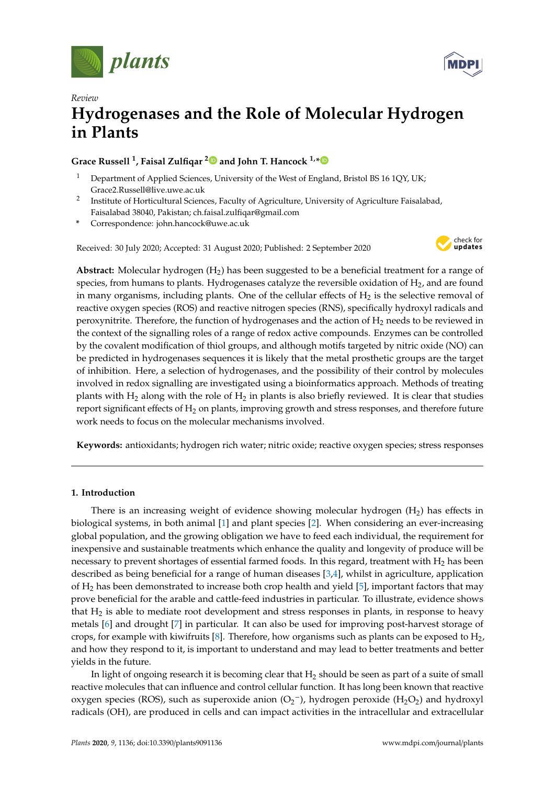



# *Review* **Hydrogenases and the Role of Molecular Hydrogen in Plants**

## **Grace Russell <sup>1</sup> , Faisal Zulfiqar [2](https://orcid.org/0000-0001-5428-5695) and John T. Hancock 1,[\\*](https://orcid.org/0000-0002-0213-8850)**

- Department of Applied Sciences, University of the West of England, Bristol BS 16 1QY, UK; Grace2.Russell@live.uwe.ac.uk
- 2 Institute of Horticultural Sciences, Faculty of Agriculture, University of Agriculture Faisalabad, Faisalabad 38040, Pakistan; ch.faisal.zulfiqar@gmail.com
- **\*** Correspondence: john.hancock@uwe.ac.uk

Received: 30 July 2020; Accepted: 31 August 2020; Published: 2 September 2020



Abstract: Molecular hydrogen (H<sub>2</sub>) has been suggested to be a beneficial treatment for a range of species, from humans to plants. Hydrogenases catalyze the reversible oxidation of  $H_2$ , and are found in many organisms, including plants. One of the cellular effects of  $H_2$  is the selective removal of reactive oxygen species (ROS) and reactive nitrogen species (RNS), specifically hydroxyl radicals and peroxynitrite. Therefore, the function of hydrogenases and the action of  $H_2$  needs to be reviewed in the context of the signalling roles of a range of redox active compounds. Enzymes can be controlled by the covalent modification of thiol groups, and although motifs targeted by nitric oxide (NO) can be predicted in hydrogenases sequences it is likely that the metal prosthetic groups are the target of inhibition. Here, a selection of hydrogenases, and the possibility of their control by molecules involved in redox signalling are investigated using a bioinformatics approach. Methods of treating plants with  $H_2$  along with the role of  $H_2$  in plants is also briefly reviewed. It is clear that studies report significant effects of H<sub>2</sub> on plants, improving growth and stress responses, and therefore future work needs to focus on the molecular mechanisms involved.

**Keywords:** antioxidants; hydrogen rich water; nitric oxide; reactive oxygen species; stress responses

#### **1. Introduction**

There is an increasing weight of evidence showing molecular hydrogen  $(H_2)$  has effects in biological systems, in both animal [\[1\]](#page-10-0) and plant species [\[2\]](#page-10-1). When considering an ever-increasing global population, and the growing obligation we have to feed each individual, the requirement for inexpensive and sustainable treatments which enhance the quality and longevity of produce will be necessary to prevent shortages of essential farmed foods. In this regard, treatment with  $H_2$  has been described as being beneficial for a range of human diseases [\[3](#page-10-2)[,4\]](#page-10-3), whilst in agriculture, application of  $H_2$  has been demonstrated to increase both crop health and yield [\[5\]](#page-10-4), important factors that may prove beneficial for the arable and cattle-feed industries in particular. To illustrate, evidence shows that  $H_2$  is able to mediate root development and stress responses in plants, in response to heavy metals [\[6\]](#page-10-5) and drought [\[7\]](#page-10-6) in particular. It can also be used for improving post-harvest storage of crops, for example with kiwifruits [\[8\]](#page-10-7). Therefore, how organisms such as plants can be exposed to  $H_2$ , and how they respond to it, is important to understand and may lead to better treatments and better yields in the future.

In light of ongoing research it is becoming clear that  $H_2$  should be seen as part of a suite of small reactive molecules that can influence and control cellular function. It has long been known that reactive oxygen species (ROS), such as superoxide anion  $(O_2^-)$ , hydrogen peroxide (H<sub>2</sub>O<sub>2</sub>) and hydroxyl radicals (OH), are produced in cells and can impact activities in the intracellular and extracellular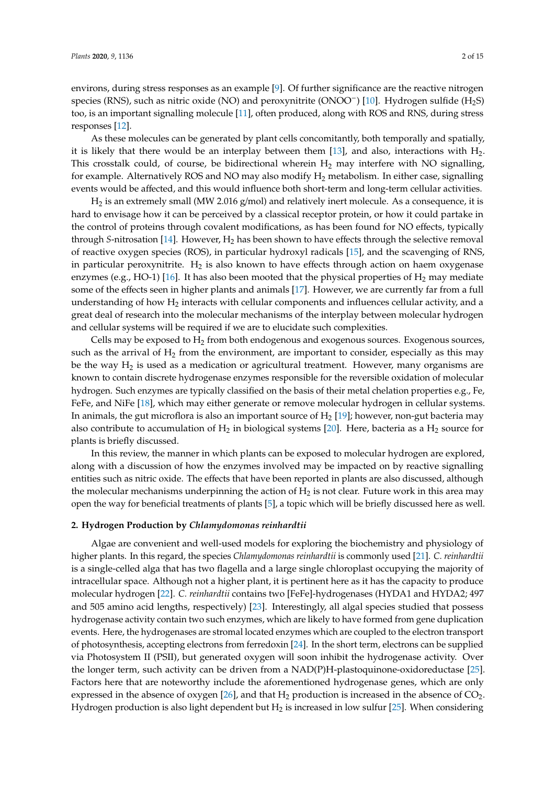environs, during stress responses as an example [\[9\]](#page-10-8). Of further significance are the reactive nitrogen species (RNS), such as nitric oxide (NO) and peroxynitrite (ONOO<sup>−</sup>) [\[10\]](#page-10-9). Hydrogen sulfide (H<sub>2</sub>S) too, is an important signalling molecule [\[11\]](#page-10-10), often produced, along with ROS and RNS, during stress responses [\[12\]](#page-10-11).

As these molecules can be generated by plant cells concomitantly, both temporally and spatially, it is likely that there would be an interplay between them  $[13]$ , and also, interactions with  $H_2$ . This crosstalk could, of course, be bidirectional wherein  $H_2$  may interfere with NO signalling, for example. Alternatively ROS and NO may also modify  $H_2$  metabolism. In either case, signalling events would be affected, and this would influence both short-term and long-term cellular activities.

 $H_2$  is an extremely small (MW 2.016 g/mol) and relatively inert molecule. As a consequence, it is hard to envisage how it can be perceived by a classical receptor protein, or how it could partake in the control of proteins through covalent modifications, as has been found for NO effects, typically through *S*-nitrosation [\[14\]](#page-10-13). However,  $H_2$  has been shown to have effects through the selective removal of reactive oxygen species (ROS), in particular hydroxyl radicals [\[15\]](#page-10-14), and the scavenging of RNS, in particular peroxynitrite.  $H_2$  is also known to have effects through action on haem oxygenase enzymes (e.g., HO-1) [\[16\]](#page-11-0). It has also been mooted that the physical properties of  $H_2$  may mediate some of the effects seen in higher plants and animals [\[17\]](#page-11-1). However, we are currently far from a full understanding of how  $H_2$  interacts with cellular components and influences cellular activity, and a great deal of research into the molecular mechanisms of the interplay between molecular hydrogen and cellular systems will be required if we are to elucidate such complexities.

Cells may be exposed to  $H_2$  from both endogenous and exogenous sources. Exogenous sources, such as the arrival of  $H_2$  from the environment, are important to consider, especially as this may be the way  $H_2$  is used as a medication or agricultural treatment. However, many organisms are known to contain discrete hydrogenase enzymes responsible for the reversible oxidation of molecular hydrogen. Such enzymes are typically classified on the basis of their metal chelation properties e.g., Fe, FeFe, and NiFe [\[18\]](#page-11-2), which may either generate or remove molecular hydrogen in cellular systems. In animals, the gut microflora is also an important source of  $H_2$  [\[19\]](#page-11-3); however, non-gut bacteria may also contribute to accumulation of  $H_2$  in biological systems [\[20\]](#page-11-4). Here, bacteria as a  $H_2$  source for plants is briefly discussed.

In this review, the manner in which plants can be exposed to molecular hydrogen are explored, along with a discussion of how the enzymes involved may be impacted on by reactive signalling entities such as nitric oxide. The effects that have been reported in plants are also discussed, although the molecular mechanisms underpinning the action of  $H_2$  is not clear. Future work in this area may open the way for beneficial treatments of plants [\[5\]](#page-10-4), a topic which will be briefly discussed here as well.

#### **2. Hydrogen Production by** *Chlamydomonas reinhardtii*

Algae are convenient and well-used models for exploring the biochemistry and physiology of higher plants. In this regard, the species *Chlamydomonas reinhardtii* is commonly used [\[21\]](#page-11-5). *C. reinhardtii* is a single-celled alga that has two flagella and a large single chloroplast occupying the majority of intracellular space. Although not a higher plant, it is pertinent here as it has the capacity to produce molecular hydrogen [\[22\]](#page-11-6). *C. reinhardtii* contains two [FeFe]-hydrogenases (HYDA1 and HYDA2; 497 and 505 amino acid lengths, respectively) [\[23\]](#page-11-7). Interestingly, all algal species studied that possess hydrogenase activity contain two such enzymes, which are likely to have formed from gene duplication events. Here, the hydrogenases are stromal located enzymes which are coupled to the electron transport of photosynthesis, accepting electrons from ferredoxin [\[24\]](#page-11-8). In the short term, electrons can be supplied via Photosystem II (PSII), but generated oxygen will soon inhibit the hydrogenase activity. Over the longer term, such activity can be driven from a NAD(P)H-plastoquinone-oxidoreductase [\[25\]](#page-11-9). Factors here that are noteworthy include the aforementioned hydrogenase genes, which are only expressed in the absence of oxygen  $[26]$ , and that  $H_2$  production is increased in the absence of  $CO_2$ . Hydrogen production is also light dependent but  $H_2$  is increased in low sulfur [\[25\]](#page-11-9). When considering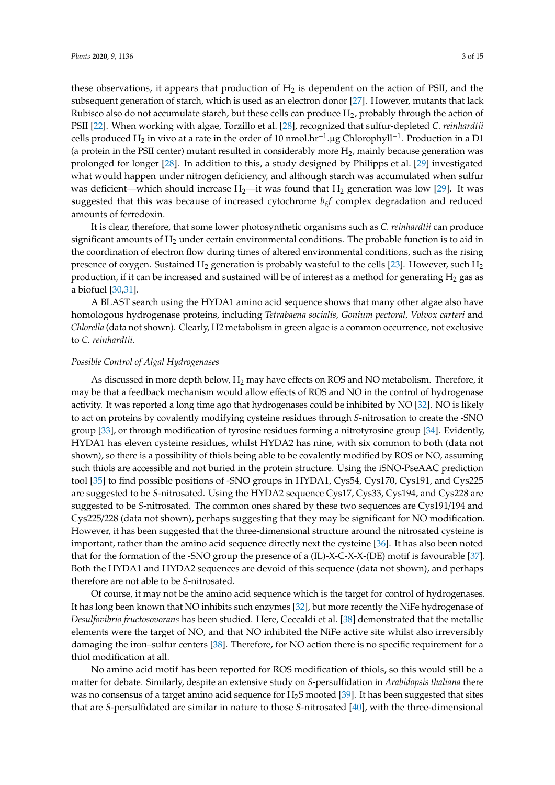these observations, it appears that production of  $H_2$  is dependent on the action of PSII, and the subsequent generation of starch, which is used as an electron donor [\[27\]](#page-11-11). However, mutants that lack Rubisco also do not accumulate starch, but these cells can produce  $H_2$ , probably through the action of PSII [\[22\]](#page-11-6). When working with algae, Torzillo et al. [\[28\]](#page-11-12), recognized that sulfur-depleted *C. reinhardtii* cells produced H<sub>2</sub> in vivo at a rate in the order of 10 nmol.hr<sup>-1</sup>.µg Chlorophyll<sup>-1</sup>. Production in a D1 (a protein in the PSII center) mutant resulted in considerably more  $H_2$ , mainly because generation was prolonged for longer [\[28\]](#page-11-12). In addition to this, a study designed by Philipps et al. [\[29\]](#page-11-13) investigated what would happen under nitrogen deficiency, and although starch was accumulated when sulfur was deficient—which should increase  $H_2$ —it was found that  $H_2$  generation was low [\[29\]](#page-11-13). It was suggested that this was because of increased cytochrome  $b<sub>6</sub>f$  complex degradation and reduced amounts of ferredoxin.

It is clear, therefore, that some lower photosynthetic organisms such as *C. reinhardtii* can produce significant amounts of  $H_2$  under certain environmental conditions. The probable function is to aid in the coordination of electron flow during times of altered environmental conditions, such as the rising presence of oxygen. Sustained  $H_2$  generation is probably wasteful to the cells [\[23\]](#page-11-7). However, such  $H_2$ production, if it can be increased and sustained will be of interest as a method for generating  $H_2$  gas as a biofuel [\[30,](#page-11-14)[31\]](#page-11-15).

A BLAST search using the HYDA1 amino acid sequence shows that many other algae also have homologous hydrogenase proteins, including *Tetrabaena socialis, Gonium pectoral, Volvox carteri* and *Chlorella* (data not shown). Clearly, H2 metabolism in green algae is a common occurrence, not exclusive to *C. reinhardtii.*

#### *Possible Control of Algal Hydrogenases*

As discussed in more depth below,  $H_2$  may have effects on ROS and NO metabolism. Therefore, it may be that a feedback mechanism would allow effects of ROS and NO in the control of hydrogenase activity. It was reported a long time ago that hydrogenases could be inhibited by NO [\[32\]](#page-11-16). NO is likely to act on proteins by covalently modifying cysteine residues through *S*-nitrosation to create the -SNO group [\[33\]](#page-11-17), or through modification of tyrosine residues forming a nitrotyrosine group [\[34\]](#page-11-18). Evidently, HYDA1 has eleven cysteine residues, whilst HYDA2 has nine, with six common to both (data not shown), so there is a possibility of thiols being able to be covalently modified by ROS or NO, assuming such thiols are accessible and not buried in the protein structure. Using the iSNO-PseAAC prediction tool [\[35\]](#page-11-19) to find possible positions of -SNO groups in HYDA1, Cys54, Cys170, Cys191, and Cys225 are suggested to be *S*-nitrosated. Using the HYDA2 sequence Cys17, Cys33, Cys194, and Cys228 are suggested to be *S*-nitrosated. The common ones shared by these two sequences are Cys191/194 and Cys225/228 (data not shown), perhaps suggesting that they may be significant for NO modification. However, it has been suggested that the three-dimensional structure around the nitrosated cysteine is important, rather than the amino acid sequence directly next the cysteine [\[36\]](#page-11-20). It has also been noted that for the formation of the -SNO group the presence of a (IL)-X-C-X-X-(DE) motif is favourable [\[37\]](#page-11-21). Both the HYDA1 and HYDA2 sequences are devoid of this sequence (data not shown), and perhaps therefore are not able to be *S*-nitrosated.

Of course, it may not be the amino acid sequence which is the target for control of hydrogenases. It has long been known that NO inhibits such enzymes [\[32\]](#page-11-16), but more recently the NiFe hydrogenase of *Desulfovibrio fructosovorans* has been studied. Here, Ceccaldi et al. [\[38\]](#page-12-0) demonstrated that the metallic elements were the target of NO, and that NO inhibited the NiFe active site whilst also irreversibly damaging the iron–sulfur centers [\[38\]](#page-12-0). Therefore, for NO action there is no specific requirement for a thiol modification at all.

No amino acid motif has been reported for ROS modification of thiols, so this would still be a matter for debate. Similarly, despite an extensive study on *S*-persulfidation in *Arabidopsis thaliana* there was no consensus of a target amino acid sequence for H<sub>2</sub>S mooted [\[39\]](#page-12-1). It has been suggested that sites that are *S*-persulfidated are similar in nature to those *S*-nitrosated [\[40\]](#page-12-2), with the three-dimensional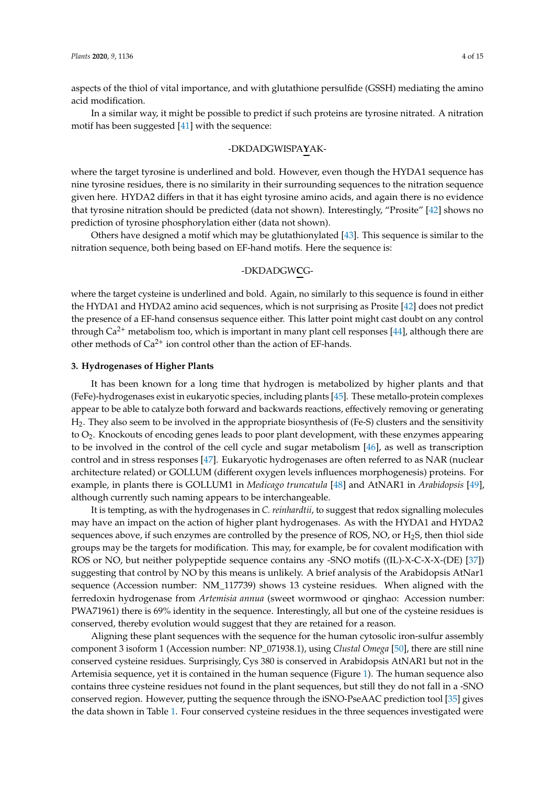acid modification.

In a similar way, it might be possible to predict if such proteins are tyrosine nitrated. A nitration motif has been suggested [\[41\]](#page-12-3) with the sequence:

### -DKDADGWISPA**Y**AK-

where the target tyrosine is underlined and bold. However, even though the HYDA1 sequence has nine tyrosine residues, there is no similarity in their surrounding sequences to the nitration sequence given here. HYDA2 differs in that it has eight tyrosine amino acids, and again there is no evidence that tyrosine nitration should be predicted (data not shown). Interestingly, "Prosite" [\[42\]](#page-12-4) shows no prediction of tyrosine phosphorylation either (data not shown).

Others have designed a motif which may be glutathionylated [\[43\]](#page-12-5). This sequence is similar to the nitration sequence, both being based on EF-hand motifs. Here the sequence is:

# -DKDADGW**C**G-

where the target cysteine is underlined and bold. Again, no similarly to this sequence is found in either the HYDA1 and HYDA2 amino acid sequences, which is not surprising as Prosite [\[42\]](#page-12-4) does not predict the presence of a EF-hand consensus sequence either. This latter point might cast doubt on any control through  $Ca^{2+}$  metabolism too, which is important in many plant cell responses [\[44\]](#page-12-6), although there are other methods of  $Ca^{2+}$  ion control other than the action of EF-hands.

#### **3. Hydrogenases of Higher Plants**

It has been known for a long time that hydrogen is metabolized by higher plants and that (FeFe)-hydrogenases exist in eukaryotic species, including plants [\[45\]](#page-12-7). These metallo-protein complexes appear to be able to catalyze both forward and backwards reactions, effectively removing or generating H2. They also seem to be involved in the appropriate biosynthesis of (Fe-S) clusters and the sensitivity to O2. Knockouts of encoding genes leads to poor plant development, with these enzymes appearing to be involved in the control of the cell cycle and sugar metabolism [\[46\]](#page-12-8), as well as transcription control and in stress responses [\[47\]](#page-12-9). Eukaryotic hydrogenases are often referred to as NAR (nuclear architecture related) or GOLLUM (different oxygen levels influences morphogenesis) proteins. For example, in plants there is GOLLUM1 in *Medicago truncatula* [\[48\]](#page-12-10) and AtNAR1 in *Arabidopsis* [\[49\]](#page-12-11), although currently such naming appears to be interchangeable.

It is tempting, as with the hydrogenases in *C. reinhardtii*, to suggest that redox signalling molecules may have an impact on the action of higher plant hydrogenases. As with the HYDA1 and HYDA2 sequences above, if such enzymes are controlled by the presence of ROS, NO, or  $H_2S$ , then thiol side groups may be the targets for modification. This may, for example, be for covalent modification with ROS or NO, but neither polypeptide sequence contains any -SNO motifs ((IL)-X-C-X-X-(DE) [\[37\]](#page-11-21)) suggesting that control by NO by this means is unlikely. A brief analysis of the Arabidopsis AtNar1 sequence (Accession number: NM\_117739) shows 13 cysteine residues. When aligned with the ferredoxin hydrogenase from *Artemisia annua* (sweet wormwood or qinghao: Accession number: PWA71961) there is 69% identity in the sequence. Interestingly, all but one of the cysteine residues is conserved, thereby evolution would suggest that they are retained for a reason.

Aligning these plant sequences with the sequence for the human cytosolic iron-sulfur assembly component 3 isoform 1 (Accession number: NP\_071938.1), using *Clustal Omega* [\[50\]](#page-12-12), there are still nine conserved cysteine residues. Surprisingly, Cys 380 is conserved in Arabidopsis AtNAR1 but not in the Artemisia sequence, yet it is contained in the human sequence (Figure [1\)](#page-4-0). The human sequence also contains three cysteine residues not found in the plant sequences, but still they do not fall in a -SNO conserved region. However, putting the sequence through the iSNO-PseAAC prediction tool [\[35\]](#page-11-19) gives the data shown in Table [1.](#page-5-0) Four conserved cysteine residues in the three sequences investigated were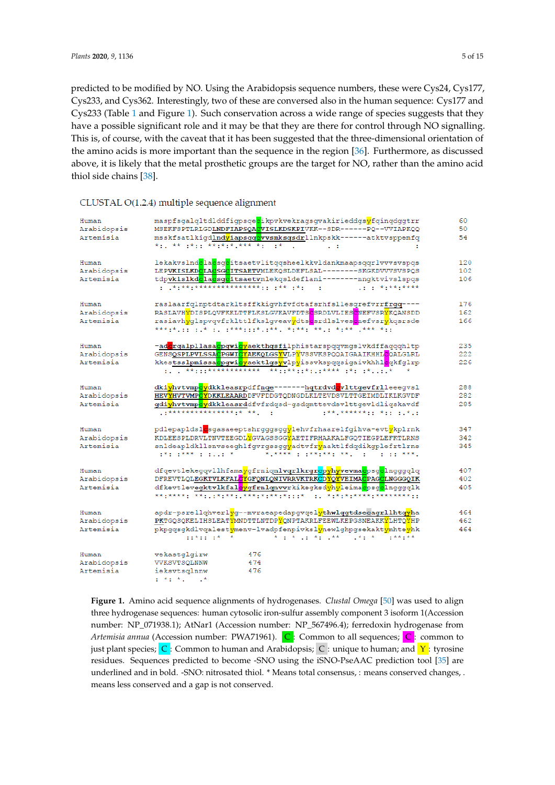<span id="page-4-1"></span>predicted to be modified by NO. Using the Arabidopsis sequence numbers, these were Cys24, Cys177, Cys233, and Cys362. Interestingly, two of these are conversed also in the human sequence: Cys177 and Cys233 (Table [1](#page-5-0) and Figure [1\)](#page-4-0). Such conservation across a wide range of species suggests that they have a possible significant role and it may be that they are there for control through NO signalling. This is, of course, with the caveat that it has been suggested that the three-dimensional orientation of 14.<br>*Plants Plants* the amino acids is more important than the sequence in the region [\[36\]](#page-11-20). Furthermore, as discussed above, it is likely that the metal prosthetic groups are the target for NO, rather than the amino acid thiol side chains  $[38]$ .

| Human       | maspfsgalqltdlddfigpsgecikpvkvekragsgvakirieddgs <mark>y</mark> fgingdggtrr                                                               | 60  |
|-------------|-------------------------------------------------------------------------------------------------------------------------------------------|-----|
| Arabidopsis | MSEKFSPTLRLGDLNDFIAPSQACVISLKDSKPIVKK--SDR------PQ--VVIAPKQQ                                                                              | 50  |
| Artemisia   | msskfsatlkiqdlnd <mark>y</mark> iapsqq <mark>c</mark> vvsmksqsdrllnkpskk------atktvsppemfq                                                | 54  |
|             | * : ** :*:: **:*:* *** *: :*<br><b>Contractor</b><br>÷                                                                                    |     |
| Human       | lekakvslnd <mark>c</mark> la <mark>c</mark> sgcitsaetvlitqqsheelkkvldankmaapsqqrlvvvsvspqs                                                | 120 |
| Arabidopsis | LEPVKISLKDCLACSGCITSAETVMLEKQSLDEFLSAL-------SKGKDVVVSVSPQS                                                                               | 102 |
| Artemisia   | tdpvkislkd <mark>e</mark> la <mark>e</mark> sgeitsaetvmlekqsldeflani--------nngktvivslspqs                                                | 106 |
| Human       | raslaarfqlnptdtarkltsffkkiqvhfvfdtafsrhfsllesqrefvrrfrqq----                                                                              | 176 |
| Arabidopsis | RASLAVHYDISPLOVFKKLTTFLKSLGVKAVFDTSCSRDLVLIESCNEFVSRYKOANSDD                                                                              | 162 |
| Artemisia   | rasiavh <mark>v</mark> qlspvqvfrklttlfkslqveav <mark>v</mark> dtsesrdlslvesenefvsrvkqsrsde                                                | 166 |
|             | ***:*.:: :.* :. :***:::*.:**. *:**: **.: *:** .*** *::                                                                                    |     |
| Human       | -ad <mark>e</mark> rgalpllasa <mark>epqwicy</mark> aekthqsfilphistarspqqvmqslvkdffaqqqhltp                                                | 235 |
| Arabidopsis | GENSQSPLPVLSSA <mark>C</mark> PGWICYAEKQLGSYVLPYVSSVKSPQQAIGAAIKHHL <mark>C</mark> QALGLRL                                                | 222 |
| Artemisia   | kkestsslpmissa <mark>c</mark> pqwicyaektlqsyvlpyissvkspqqsiqaivkhhlcqkfqlrp<br>: . **:::************ **::**::*:.:**** :*: :**             | 226 |
| Human       | dkiyhvtvmp <mark>ey</mark> dkkleasrpdffnqe-------hqtrdvd <mark>e</mark> vlttqevfrlleeeqvsl                                                | 288 |
| Arabidopsis | HEVYHVTVMPCYDKKLEAARDDFVFDDGTODNGDLKLTEVDSVLTTGEIMDLIKLKGVDF                                                                              | 282 |
| Artemisia   | gdi <mark>yhvtvmpcy</mark> dkkleasrddfvfrdqsd-gsdqmttevdsvlttgevldliqskavdf                                                               | 285 |
|             | ************************<br>1988.88888811.811.12.8                                                                                        |     |
| Human       | pdlepapldsl <mark>o</mark> sgasaeeptshrqqqsqq <mark>y</mark> lehvfrhaarelfqihva-evt <mark>y</mark> kplrnk                                 | 347 |
| Arabidopsis | KDLEESPLDRVLTNVTEEGDLYGVAGSSGGYAETIFRHAAKALFGOTIEGPLEFKTLRNS                                                                              | 342 |
| Artemisia   | snldeapldkllsnvseeghlfgvrgssgg <mark>v</mark> adtvfryaaktlfdgdikgplefrtlrns<br>医中性小脑中枢 医心包 医心包 化二十二烷 医水杨酸 医心包 医水杨二酸 医水杨酸 医心包 医心包 医心包 医水杨酸 | 345 |
| Human       | dfgevtlekegqvllhfama <mark>y</mark> gfrniqnl <b>vqrlkrgrcpyhyvevmac</b> psg <mark>c</mark> lngggqlq                                       | 407 |
| Arabidopsis | DFREVTLQLEGKTVLKFALCYGFQNLQNIVRRVKTRKCDYQYVEIMACPAGCLNGGGQIK                                                                              | 402 |
| Artemisia   | dfkevtlevegktvlkfal <mark>ev</mark> gfrnlgnvvrkikegksd <mark>v</mark> hvleima <mark>c</mark> psg <mark>c</mark> lngggglk                  | 405 |
| Human       | apdr-psrellqhverl <mark>y</mark> g--mvraeapedapgvqel <mark>ythwlqgtdsecagrllhtqyh</mark> a                                                | 464 |
| Arabidopsis | PKTGQSQKELIHSLEATYMNDTTLNTDPYQNPTAKRLFEEWLKEPGSNEAKKYLHTQYHP                                                                              | 462 |
| Artemisia   | pkpqqsqkdlvqalest <mark>y</mark> menv-lvadpfenpivksl <mark>y</mark> newlqhpqsekakt <mark>y</mark> mhte <mark>y</mark> hk                  | 464 |
| Human       | vekastglgirw<br>476                                                                                                                       |     |
| Arabidopsis | 474<br>VVKSVTSQLNNW                                                                                                                       |     |
| Artemisia   | ieksvtsglnnw<br>476                                                                                                                       |     |
|             | $x^2 + y^2 + z^3 = 1$                                                                                                                     |     |

## <span id="page-4-0"></span>CLUSTAL O(1.2.4) multiple sequence alignment

**Figure 1.** Amino acid sequence alignments of hydrogenases. *Clustal Omega* [50] was used to align **Figure 1.** Amino acid sequence alignments of hydrogenases. *Clustal Omega* [\[50\]](#page-12-12) was used to align three hydrogenase sequences: human cytosolic iron-sulfur assembly component 3 isoform three hydrogenase sequences: human cytosolic iron-sulfur assembly component 3 isoform 1(Accession number: NP\_071938.1); AtNar1 (Accession number: NP\_567496.4); ferredoxin hydrogenase from hydrogenase from *Artemisia annua* (Accession number: PWA71961). C: Common to all sequences; C: *Artemisia annua* (Accession number: PWA71961). C : Common to all sequences; C : common to just plant species; C: Common to human and Arabidopsis; C: unique to human; and Y: tyrosine  $\frac{1}{100}$  residues. Sequences predicted to become -SNO using the iSNO-PseAAC prediction tool [\[35\]](#page-11-19) are underlined and in bold. -SNO: nitrosated thiol. \* Means total consensus, : means conserved changes, . means less conserved and a gap is not conserved.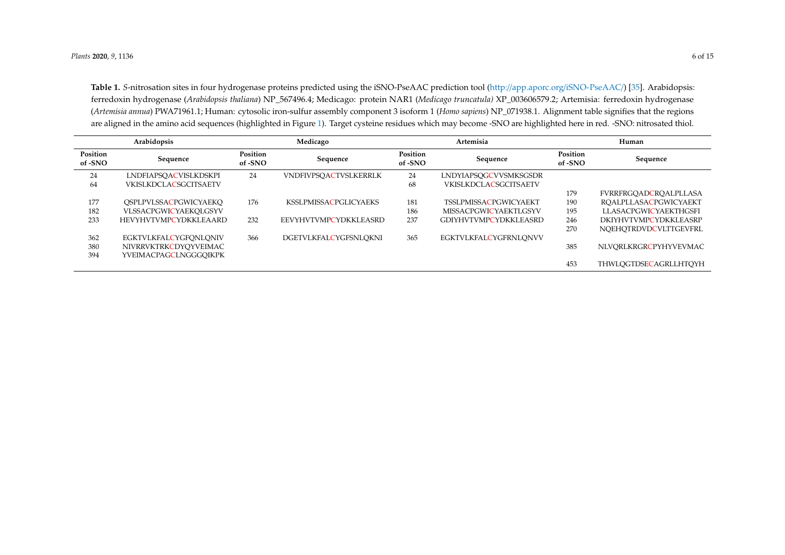Table 1. *S*-nitrosation sites in four hydrogenase proteins predicted using the [iSNO-PseAAC](http://app.aporc.org/iSNO-PseAAC/) prediction tool (http://app.aporc.org/iSNO-PseAAC/) [\[35\]](#page-11-22). Arabidopsis: ferredoxin hydrogenase (*Arabidopsis thaliana*) NP\_567496.4; Medicago: protein NAR1 (*Medicago truncatula)* XP\_003606579.2; Artemisia: ferredoxin hydrogenase (*Artemisia annua*) PWA71961.1; Human: cytosolic iron-sulfur assembly component 3 isoform 1 (*Homo sapiens*) NP\_071938.1. Alignment table signifies that the regions are aligned in the amino acid sequences (highlighted in Figure [1\)](#page-4-1). Target cysteine residues which may become -SNO are highlighted here in red. -SNO: nitrosated thiol.

<span id="page-5-0"></span>

| Arabidopsis         |                              | Medicago            |                              | Artemisia           |                              | Human               |                              |
|---------------------|------------------------------|---------------------|------------------------------|---------------------|------------------------------|---------------------|------------------------------|
| Position<br>of -SNO | Sequence                     | Position<br>of -SNO | Sequence                     | Position<br>of -SNO | Sequence                     | Position<br>of -SNO | Sequence                     |
| 24                  | LNDFIAPSOACVISLKDSKPI        | 24                  | <b>VNDFIVPSOACTVSLKERRLK</b> | 24                  | LNDYIAPSOGCVVSMKSGSDR        |                     |                              |
| 64                  | <b>VKISLKDCLACSGCITSAETV</b> |                     |                              | 68                  | <b>VKISLKDCLACSGCITSAETV</b> |                     |                              |
|                     |                              |                     |                              |                     |                              | 179                 | <b>FVRRFRGOADCROALPLLASA</b> |
| 177                 | OSPLPVLSSACPGWICYAEKO        | 176                 | <b>KSSLPMISSACPGLICYAEKS</b> | 181                 | <b>TSSLPMISSACPGWICYAEKT</b> | 190                 | <b>ROALPLLASACPGWICYAEKT</b> |
| 182                 | VLSSACPGWICYAEKOLGSYV        |                     |                              | 186                 | MISSACPGWICYAEKTLGSYV        | 195                 | LLASACPGWICYAEKTHGSFI        |
| 233                 | <b>HEVYHVTVMPCYDKKLEAARD</b> | 232                 | EEVYHVTVMPCYDKKLEASRD        | 237                 | GDIYHVTVMPCYDKKLEASRD        | 246                 | DKIYHVTVMPCYDKKLEASRP        |
|                     |                              |                     |                              |                     |                              | 270                 | NOEHOTRDVDCVLTTGEVFRL        |
| 362                 | <b>EGKTVLKFALCYGFQNLQNIV</b> | 366                 | DGETVLKFALCYGFSNLOKNI        | 365                 | <b>EGKTVLKFALCYGFRNLONVV</b> |                     |                              |
| 380                 | NIVRRVKTRKCDYOYVEIMAC        |                     |                              |                     |                              | 385                 | NLVORLKRGRCPYHYVEVMAC        |
| 394                 | YVEIMACPAGCLNGGGOIKPK        |                     |                              |                     |                              |                     |                              |
|                     |                              |                     |                              |                     |                              | 453                 | THWLOGTDSECAGRLLHTOYH        |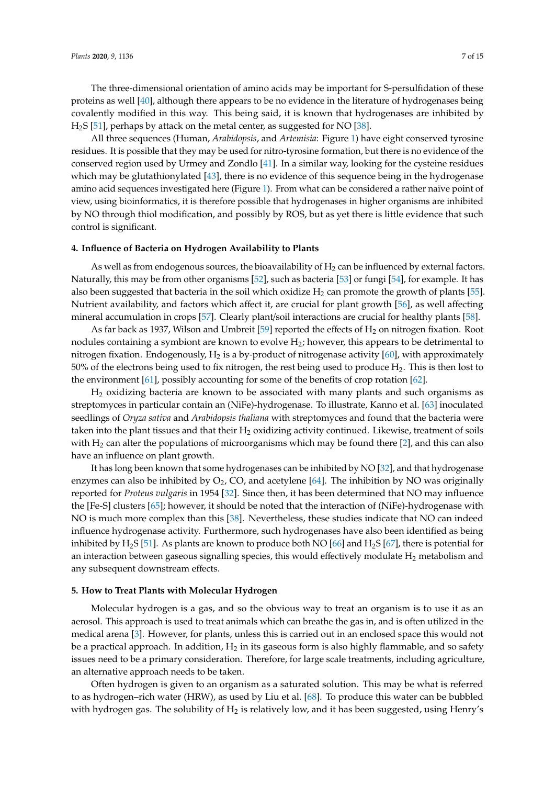The three-dimensional orientation of amino acids may be important for S-persulfidation of these proteins as well [\[40\]](#page-12-2), although there appears to be no evidence in the literature of hydrogenases being covalently modified in this way. This being said, it is known that hydrogenases are inhibited by H2S [\[51\]](#page-12-13), perhaps by attack on the metal center, as suggested for NO [\[38\]](#page-12-0).

All three sequences (Human, *Arabidopsis*, and *Artemisia*: Figure [1\)](#page-4-0) have eight conserved tyrosine residues. It is possible that they may be used for nitro-tyrosine formation, but there is no evidence of the conserved region used by Urmey and Zondlo [\[41\]](#page-12-3). In a similar way, looking for the cysteine residues which may be glutathionylated [\[43\]](#page-12-5), there is no evidence of this sequence being in the hydrogenase amino acid sequences investigated here (Figure [1\)](#page-4-0). From what can be considered a rather naïve point of view, using bioinformatics, it is therefore possible that hydrogenases in higher organisms are inhibited by NO through thiol modification, and possibly by ROS, but as yet there is little evidence that such control is significant.

#### **4. Influence of Bacteria on Hydrogen Availability to Plants**

As well as from endogenous sources, the bioavailability of  $H_2$  can be influenced by external factors. Naturally, this may be from other organisms [\[52\]](#page-12-14), such as bacteria [\[53\]](#page-12-15) or fungi [\[54\]](#page-12-16), for example. It has also been suggested that bacteria in the soil which oxidize  $H_2$  can promote the growth of plants [\[55\]](#page-12-17). Nutrient availability, and factors which affect it, are crucial for plant growth [\[56\]](#page-12-18), as well affecting mineral accumulation in crops [\[57\]](#page-12-19). Clearly plant/soil interactions are crucial for healthy plants [\[58\]](#page-12-20).

As far back as 1937, Wilson and Umbreit [\[59\]](#page-13-0) reported the effects of  $H_2$  on nitrogen fixation. Root nodules containing a symbiont are known to evolve  $H_2$ ; however, this appears to be detrimental to nitrogen fixation. Endogenously,  $H_2$  is a by-product of nitrogenase activity [\[60\]](#page-13-1), with approximately  $50\%$  of the electrons being used to fix nitrogen, the rest being used to produce  $H_2$ . This is then lost to the environment [\[61\]](#page-13-2), possibly accounting for some of the benefits of crop rotation [\[62\]](#page-13-3).

 $H<sub>2</sub>$  oxidizing bacteria are known to be associated with many plants and such organisms as streptomyces in particular contain an (NiFe)-hydrogenase. To illustrate, Kanno et al. [\[63\]](#page-13-4) inoculated seedlings of *Oryza sativa* and *Arabidopsis thaliana* with streptomyces and found that the bacteria were taken into the plant tissues and that their  $H_2$  oxidizing activity continued. Likewise, treatment of soils with  $H_2$  can alter the populations of microorganisms which may be found there [\[2\]](#page-10-1), and this can also have an influence on plant growth.

It has long been known that some hydrogenases can be inhibited by NO [\[32\]](#page-11-16), and that hydrogenase enzymes can also be inhibited by  $O_2$ , CO, and acetylene [\[64\]](#page-13-5). The inhibition by NO was originally reported for *Proteus vulgaris* in 1954 [\[32\]](#page-11-16). Since then, it has been determined that NO may influence the [Fe-S] clusters [\[65\]](#page-13-6); however, it should be noted that the interaction of (NiFe)-hydrogenase with NO is much more complex than this [\[38\]](#page-12-0). Nevertheless, these studies indicate that NO can indeed influence hydrogenase activity. Furthermore, such hydrogenases have also been identified as being inhibited by H<sub>2</sub>S [\[51\]](#page-12-13). As plants are known to produce both NO [\[66\]](#page-13-7) and H<sub>2</sub>S [\[67\]](#page-13-8), there is potential for an interaction between gaseous signalling species, this would effectively modulate  $H_2$  metabolism and any subsequent downstream effects.

#### **5. How to Treat Plants with Molecular Hydrogen**

Molecular hydrogen is a gas, and so the obvious way to treat an organism is to use it as an aerosol. This approach is used to treat animals which can breathe the gas in, and is often utilized in the medical arena [\[3\]](#page-10-2). However, for plants, unless this is carried out in an enclosed space this would not be a practical approach. In addition,  $H_2$  in its gaseous form is also highly flammable, and so safety issues need to be a primary consideration. Therefore, for large scale treatments, including agriculture, an alternative approach needs to be taken.

Often hydrogen is given to an organism as a saturated solution. This may be what is referred to as hydrogen–rich water (HRW), as used by Liu et al. [\[68\]](#page-13-9). To produce this water can be bubbled with hydrogen gas. The solubility of  $H_2$  is relatively low, and it has been suggested, using Henry's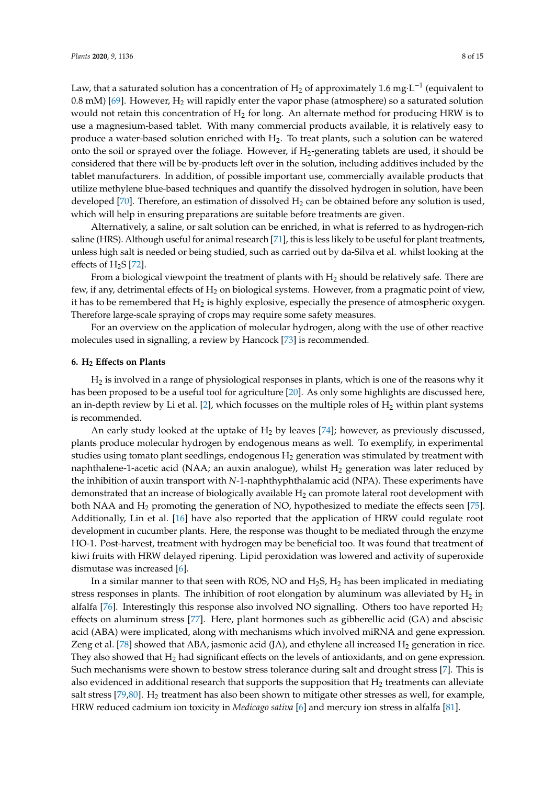Law, that a saturated solution has a concentration of  $\rm{H}_{2}$  of approximately 1.6 mg·L<sup>-1</sup> (equivalent to 0.8 mM) [\[69\]](#page-13-10). However,  $H_2$  will rapidly enter the vapor phase (atmosphere) so a saturated solution would not retain this concentration of  $H_2$  for long. An alternate method for producing HRW is to use a magnesium-based tablet. With many commercial products available, it is relatively easy to produce a water-based solution enriched with  $H_2$ . To treat plants, such a solution can be watered onto the soil or sprayed over the foliage. However, if  $H_2$ -generating tablets are used, it should be considered that there will be by-products left over in the solution, including additives included by the tablet manufacturers. In addition, of possible important use, commercially available products that utilize methylene blue-based techniques and quantify the dissolved hydrogen in solution, have been developed [\[70\]](#page-13-11). Therefore, an estimation of dissolved  $H_2$  can be obtained before any solution is used, which will help in ensuring preparations are suitable before treatments are given.

Alternatively, a saline, or salt solution can be enriched, in what is referred to as hydrogen-rich saline (HRS). Although useful for animal research [\[71\]](#page-13-12), this is less likely to be useful for plant treatments, unless high salt is needed or being studied, such as carried out by da-Silva et al. whilst looking at the effects of  $H_2S$  [\[72\]](#page-13-13).

From a biological viewpoint the treatment of plants with  $H_2$  should be relatively safe. There are few, if any, detrimental effects of H<sub>2</sub> on biological systems. However, from a pragmatic point of view, it has to be remembered that  $H_2$  is highly explosive, especially the presence of atmospheric oxygen. Therefore large-scale spraying of crops may require some safety measures.

For an overview on the application of molecular hydrogen, along with the use of other reactive molecules used in signalling, a review by Hancock [\[73\]](#page-13-14) is recommended.

#### **6. H<sup>2</sup> E**ff**ects on Plants**

H<sup>2</sup> is involved in a range of physiological responses in plants, which is one of the reasons why it has been proposed to be a useful tool for agriculture [\[20\]](#page-11-4). As only some highlights are discussed here, an in-depth review by Li et al. [\[2\]](#page-10-1), which focusses on the multiple roles of  $H_2$  within plant systems is recommended.

An early study looked at the uptake of  $H_2$  by leaves [\[74\]](#page-13-15); however, as previously discussed, plants produce molecular hydrogen by endogenous means as well. To exemplify, in experimental studies using tomato plant seedlings, endogenous  $H_2$  generation was stimulated by treatment with naphthalene-1-acetic acid (NAA; an auxin analogue), whilst  $H_2$  generation was later reduced by the inhibition of auxin transport with *N*-1-naphthyphthalamic acid (NPA). These experiments have demonstrated that an increase of biologically available  $H_2$  can promote lateral root development with both NAA and  $H_2$  promoting the generation of NO, hypothesized to mediate the effects seen [\[75\]](#page-13-16). Additionally, Lin et al. [\[16\]](#page-11-0) have also reported that the application of HRW could regulate root development in cucumber plants. Here, the response was thought to be mediated through the enzyme HO-1. Post-harvest, treatment with hydrogen may be beneficial too. It was found that treatment of kiwi fruits with HRW delayed ripening. Lipid peroxidation was lowered and activity of superoxide dismutase was increased [\[6\]](#page-10-5).

In a similar manner to that seen with ROS, NO and  $H_2S$ ,  $H_2$  has been implicated in mediating stress responses in plants. The inhibition of root elongation by aluminum was alleviated by  $H_2$  in alfalfa [\[76\]](#page-13-17). Interestingly this response also involved NO signalling. Others too have reported  $H_2$ effects on aluminum stress [\[77\]](#page-13-18). Here, plant hormones such as gibberellic acid (GA) and abscisic acid (ABA) were implicated, along with mechanisms which involved miRNA and gene expression. Zeng et al. [\[78\]](#page-13-19) showed that ABA, jasmonic acid (JA), and ethylene all increased  $H_2$  generation in rice. They also showed that  $H_2$  had significant effects on the levels of antioxidants, and on gene expression. Such mechanisms were shown to bestow stress tolerance during salt and drought stress [\[7\]](#page-10-6). This is also evidenced in additional research that supports the supposition that  $H<sub>2</sub>$  treatments can alleviate salt stress [\[79,](#page-13-20)[80\]](#page-13-21). H<sub>2</sub> treatment has also been shown to mitigate other stresses as well, for example, HRW reduced cadmium ion toxicity in *Medicago sativa* [\[6\]](#page-10-5) and mercury ion stress in alfalfa [\[81\]](#page-13-22).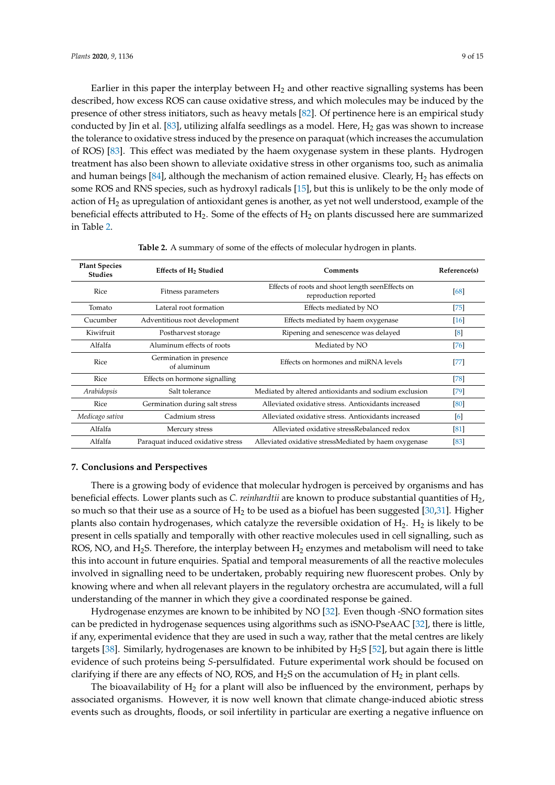Earlier in this paper the interplay between  $H_2$  and other reactive signalling systems has been described, how excess ROS can cause oxidative stress, and which molecules may be induced by the presence of other stress initiators, such as heavy metals [\[82\]](#page-13-23). Of pertinence here is an empirical study conducted by Jin et al. [\[83\]](#page-14-0), utilizing alfalfa seedlings as a model. Here,  $H_2$  gas was shown to increase the tolerance to oxidative stress induced by the presence on paraquat (which increases the accumulation of ROS) [\[83\]](#page-14-0). This effect was mediated by the haem oxygenase system in these plants. Hydrogen treatment has also been shown to alleviate oxidative stress in other organisms too, such as animalia and human beings [\[84\]](#page-14-1), although the mechanism of action remained elusive. Clearly,  $H_2$  has effects on some ROS and RNS species, such as hydroxyl radicals [\[15\]](#page-10-14), but this is unlikely to be the only mode of action of H<sup>2</sup> as upregulation of antioxidant genes is another, as yet not well understood, example of the beneficial effects attributed to  $H_2$ . Some of the effects of  $H_2$  on plants discussed here are summarized in Table [2.](#page-8-0)

<span id="page-8-0"></span>

| <b>Plant Species</b><br><b>Studies</b> | Effects of H <sub>2</sub> Studied      | Comments                                                                  | Reference(s) |
|----------------------------------------|----------------------------------------|---------------------------------------------------------------------------|--------------|
| Rice                                   | Fitness parameters                     | Effects of roots and shoot length seenEffects on<br>reproduction reported | [68]         |
| Tomato                                 | Lateral root formation                 | Effects mediated by NO                                                    | [75]         |
| Cucumber                               | Adventitious root development          | Effects mediated by haem oxygenase                                        | $[16]$       |
| Kiwifruit                              | Postharvest storage                    | Ripening and senescence was delayed                                       | $^{[8]}$     |
| Alfalfa                                | Aluminum effects of roots              | Mediated by NO                                                            | [76]         |
| Rice                                   | Germination in presence<br>of aluminum | Effects on hormones and miRNA levels                                      | $[77]$       |
| Rice                                   | Effects on hormone signalling          |                                                                           | $[78]$       |
| Arabidopsis                            | Salt tolerance                         | Mediated by altered antioxidants and sodium exclusion                     | [79]         |
| Rice                                   | Germination during salt stress         | Alleviated oxidative stress. Antioxidants increased                       | [80]         |
| Medicago sativa                        | Cadmium stress                         | Alleviated oxidative stress. Antioxidants increased                       | [6]          |
| Alfalfa                                | Mercury stress                         | Alleviated oxidative stressRebalanced redox                               | [81]         |
| Alfalfa                                | Paraquat induced oxidative stress      | Alleviated oxidative stressMediated by haem oxygenase                     | [83]         |

**Table 2.** A summary of some of the effects of molecular hydrogen in plants.

#### **7. Conclusions and Perspectives**

There is a growing body of evidence that molecular hydrogen is perceived by organisms and has beneficial effects. Lower plants such as *C. reinhardtii* are known to produce substantial quantities of H2, so much so that their use as a source of  $H_2$  to be used as a biofuel has been suggested [\[30](#page-11-14)[,31\]](#page-11-15). Higher plants also contain hydrogenases, which catalyze the reversible oxidation of  $H_2$ .  $H_2$  is likely to be present in cells spatially and temporally with other reactive molecules used in cell signalling, such as ROS, NO, and H<sub>2</sub>S. Therefore, the interplay between H<sub>2</sub> enzymes and metabolism will need to take this into account in future enquiries. Spatial and temporal measurements of all the reactive molecules involved in signalling need to be undertaken, probably requiring new fluorescent probes. Only by knowing where and when all relevant players in the regulatory orchestra are accumulated, will a full understanding of the manner in which they give a coordinated response be gained.

Hydrogenase enzymes are known to be inhibited by NO [\[32\]](#page-11-16). Even though -SNO formation sites can be predicted in hydrogenase sequences using algorithms such as iSNO-PseAAC [\[32\]](#page-11-16), there is little, if any, experimental evidence that they are used in such a way, rather that the metal centres are likely targets [\[38\]](#page-12-0). Similarly, hydrogenases are known to be inhibited by H2S [\[52\]](#page-12-14), but again there is little evidence of such proteins being *S*-persulfidated. Future experimental work should be focused on clarifying if there are any effects of NO, ROS, and  $H_2S$  on the accumulation of  $H_2$  in plant cells.

The bioavailability of  $H_2$  for a plant will also be influenced by the environment, perhaps by associated organisms. However, it is now well known that climate change-induced abiotic stress events such as droughts, floods, or soil infertility in particular are exerting a negative influence on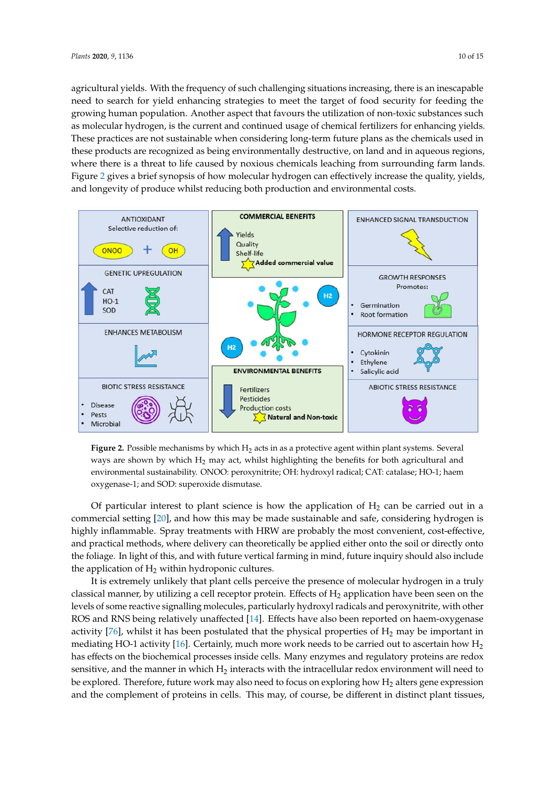agricultural yields. With the frequency of such challenging situations increasing, there is an inescapable need to search for yield enhancing strategies to meet the target of food security for feeding the growing human population. Another aspect that favours the utilization of non-toxic substances such as molecular hydrogen, is the current and continued usage of chemical fertilizers for enhancing yields. These practices are not sustainable when considering long-term future plans as the chemicals used in these products are recognized as being environmentally destructive, on land and in aqueous regions, where there is a threat to life caused by noxious chemicals leaching from surrounding farm lands. Figure 2 gives a brief synopsis of how molecular hydro[ge](#page-9-0)n can effectively increase the quality, yields, and longevity of produce whilst reducing both production and environmental costs. production and environmental costs.

<span id="page-9-0"></span>

**Figure 2.** Possible mechanisms by which H<sub>2</sub> acts in as a protective agent within plant systems. Several ways are shown by which  $H_2$  may act, whilst highlighting the benefits for both agricultural and environmental sustainability. ONOO: peroxynitrite; OH: hydroxyl radical; CAT: catalase; HO-1; haem oxygenase-1; and SOD: superoxide dismutase.

Of particular interest to plant science is how the application of  $H_2$  can be carried out in a commercial setting [20], and how this m[ay b](#page-11-4)e made sustainable and safe, considering hydrogen is highly inflammable. Spray treatments with HRW are probably the most convenient, cost-effective, and practical methods, where delivery can theoretically be applied either onto the soil or directly onto the foliage. In light of this, and with future vertical farming in mind, future inquiry should also include the application of  $H_2$  within hydroponic cultures.

 $\frac{m}{2}$  is utilized a cell receptor protein. Effects of  $\frac{m}{2}$  application have been seen on the levels of some seen on the levels of some seen on the levels of some some seen seen seen seen on the levels of some som It is extremely unlikely that plant cells perceive the presence of molecular hydrogen in a truly classical manner, by utilizing a cell receptor protein. Effects of  $H_2$  application have been seen on the levels of some reactive signalling molecules, particularly hydroxyl radicals and peroxynitrite, with other ROS and RNS being relatively unaffected [\[14\]](#page-10-13). Effects have also been reported on haem-oxygenase activity [\[76\]](#page-13-17), whilst it has been postulated that the physical properties of  $\rm{H}_{2}$  may be important in mediating HO-1 activity [\[16\]](#page-11-0). Certainly, much more work needs to be carried out to ascertain how  $\rm{H}_{2}$ has effects on the biochemical processes inside cells. Many enzymes and regulatory proteins are redox sensitive, and the manner in which  $H_2$  interacts with the intracellular redox environment will need to be explored. Therefore, future work may also need to focus on exploring how  $H_2$  alters gene expression and the complement of proteins in cells. This may, of course, be different in distinct plant tissues,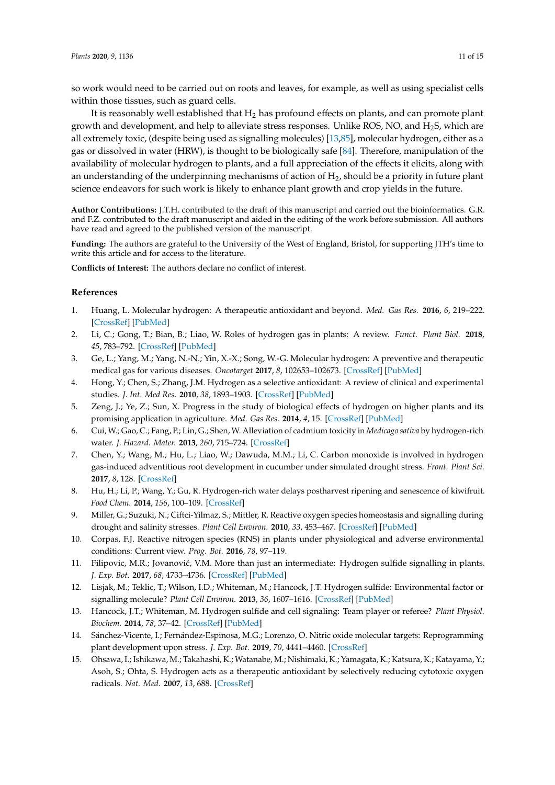so work would need to be carried out on roots and leaves, for example, as well as using specialist cells within those tissues, such as guard cells.

It is reasonably well established that  $H_2$  has profound effects on plants, and can promote plant growth and development, and help to alleviate stress responses. Unlike ROS, NO, and  $H_2$ S, which are all extremely toxic, (despite being used as signalling molecules) [\[13](#page-10-12)[,85\]](#page-14-2), molecular hydrogen, either as a gas or dissolved in water (HRW), is thought to be biologically safe [\[84\]](#page-14-1). Therefore, manipulation of the availability of molecular hydrogen to plants, and a full appreciation of the effects it elicits, along with an understanding of the underpinning mechanisms of action of  $H_2$ , should be a priority in future plant science endeavors for such work is likely to enhance plant growth and crop yields in the future.

**Author Contributions:** J.T.H. contributed to the draft of this manuscript and carried out the bioinformatics. G.R. and F.Z. contributed to the draft manuscript and aided in the editing of the work before submission. All authors have read and agreed to the published version of the manuscript.

**Funding:** The authors are grateful to the University of the West of England, Bristol, for supporting JTH's time to write this article and for access to the literature.

**Conflicts of Interest:** The authors declare no conflict of interest.

#### **References**

- <span id="page-10-0"></span>1. Huang, L. Molecular hydrogen: A therapeutic antioxidant and beyond. *Med. Gas Res.* **2016**, *6*, 219–222. [\[CrossRef\]](http://dx.doi.org/10.4103/2045-9912.196904) [\[PubMed\]](http://www.ncbi.nlm.nih.gov/pubmed/28217294)
- <span id="page-10-1"></span>2. Li, C.; Gong, T.; Bian, B.; Liao, W. Roles of hydrogen gas in plants: A review. *Funct. Plant Biol.* **2018**, *45*, 783–792. [\[CrossRef\]](http://dx.doi.org/10.1071/FP17301) [\[PubMed\]](http://www.ncbi.nlm.nih.gov/pubmed/32291062)
- <span id="page-10-2"></span>3. Ge, L.; Yang, M.; Yang, N.-N.; Yin, X.-X.; Song, W.-G. Molecular hydrogen: A preventive and therapeutic medical gas for various diseases. *Oncotarget* **2017**, *8*, 102653–102673. [\[CrossRef\]](http://dx.doi.org/10.18632/oncotarget.21130) [\[PubMed\]](http://www.ncbi.nlm.nih.gov/pubmed/29254278)
- <span id="page-10-3"></span>4. Hong, Y.; Chen, S.; Zhang, J.M. Hydrogen as a selective antioxidant: A review of clinical and experimental studies. *J. Int. Med Res.* **2010**, *38*, 1893–1903. [\[CrossRef\]](http://dx.doi.org/10.1177/147323001003800602) [\[PubMed\]](http://www.ncbi.nlm.nih.gov/pubmed/21226992)
- <span id="page-10-4"></span>5. Zeng, J.; Ye, Z.; Sun, X. Progress in the study of biological effects of hydrogen on higher plants and its promising application in agriculture. *Med. Gas Res.* **2014**, *4*, 15. [\[CrossRef\]](http://dx.doi.org/10.1186/2045-9912-4-15) [\[PubMed\]](http://www.ncbi.nlm.nih.gov/pubmed/25276344)
- <span id="page-10-5"></span>6. Cui, W.; Gao, C.; Fang, P.; Lin, G.; Shen, W. Alleviation of cadmium toxicity in *Medicago sativa* by hydrogen-rich water. *J. Hazard. Mater.* **2013**, *260*, 715–724. [\[CrossRef\]](http://dx.doi.org/10.1016/j.jhazmat.2013.06.032)
- <span id="page-10-6"></span>7. Chen, Y.; Wang, M.; Hu, L.; Liao, W.; Dawuda, M.M.; Li, C. Carbon monoxide is involved in hydrogen gas-induced adventitious root development in cucumber under simulated drought stress. *Front. Plant Sci.* **2017**, *8*, 128. [\[CrossRef\]](http://dx.doi.org/10.3389/fpls.2017.00128)
- <span id="page-10-7"></span>8. Hu, H.; Li, P.; Wang, Y.; Gu, R. Hydrogen-rich water delays postharvest ripening and senescence of kiwifruit. *Food Chem.* **2014**, *156*, 100–109. [\[CrossRef\]](http://dx.doi.org/10.1016/j.foodchem.2014.01.067)
- <span id="page-10-8"></span>9. Miller, G.; Suzuki, N.; Ciftci-Yilmaz, S.; Mittler, R. Reactive oxygen species homeostasis and signalling during drought and salinity stresses. *Plant Cell Environ.* **2010**, *33*, 453–467. [\[CrossRef\]](http://dx.doi.org/10.1111/j.1365-3040.2009.02041.x) [\[PubMed\]](http://www.ncbi.nlm.nih.gov/pubmed/19712065)
- <span id="page-10-9"></span>10. Corpas, F.J. Reactive nitrogen species (RNS) in plants under physiological and adverse environmental conditions: Current view. *Prog. Bot.* **2016**, *78*, 97–119.
- <span id="page-10-10"></span>11. Filipovic, M.R.; Jovanović, V.M. More than just an intermediate: Hydrogen sulfide signalling in plants. *J. Exp. Bot.* **2017**, *68*, 4733–4736. [\[CrossRef\]](http://dx.doi.org/10.1093/jxb/erx352) [\[PubMed\]](http://www.ncbi.nlm.nih.gov/pubmed/29048568)
- <span id="page-10-11"></span>12. Lisjak, M.; Teklic, T.; Wilson, I.D.; Whiteman, M.; Hancock, J.T. Hydrogen sulfide: Environmental factor or signalling molecule? *Plant Cell Environ.* **2013**, *36*, 1607–1616. [\[CrossRef\]](http://dx.doi.org/10.1111/pce.12073) [\[PubMed\]](http://www.ncbi.nlm.nih.gov/pubmed/23347018)
- <span id="page-10-12"></span>13. Hancock, J.T.; Whiteman, M. Hydrogen sulfide and cell signaling: Team player or referee? *Plant Physiol. Biochem.* **2014**, *78*, 37–42. [\[CrossRef\]](http://dx.doi.org/10.1016/j.plaphy.2014.02.012) [\[PubMed\]](http://www.ncbi.nlm.nih.gov/pubmed/24607577)
- <span id="page-10-13"></span>14. Sánchez-Vicente, I.; Fernández-Espinosa, M.G.; Lorenzo, O. Nitric oxide molecular targets: Reprogramming plant development upon stress. *J. Exp. Bot.* **2019**, *70*, 4441–4460. [\[CrossRef\]](http://dx.doi.org/10.1093/jxb/erz339)
- <span id="page-10-14"></span>15. Ohsawa, I.; Ishikawa, M.; Takahashi, K.; Watanabe, M.; Nishimaki, K.; Yamagata, K.; Katsura, K.; Katayama, Y.; Asoh, S.; Ohta, S. Hydrogen acts as a therapeutic antioxidant by selectively reducing cytotoxic oxygen radicals. *Nat. Med.* **2007**, *13*, 688. [\[CrossRef\]](http://dx.doi.org/10.1038/nm1577)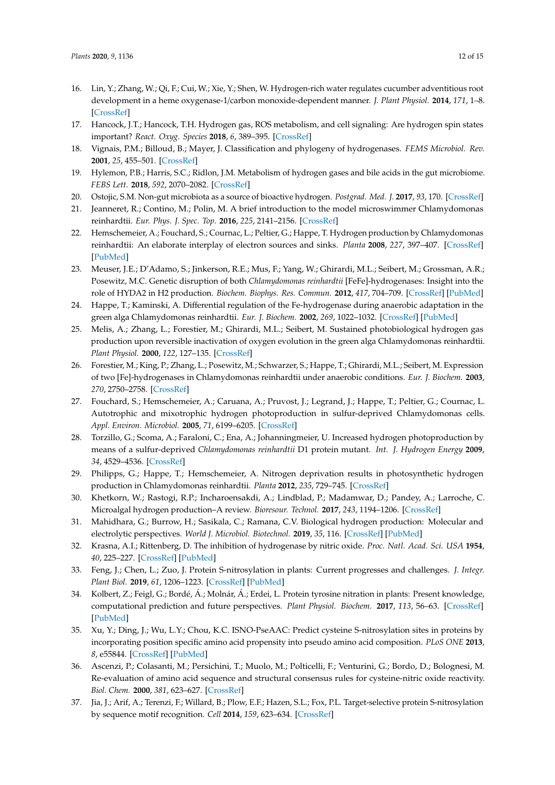- <span id="page-11-0"></span>16. Lin, Y.; Zhang, W.; Qi, F.; Cui, W.; Xie, Y.; Shen, W. Hydrogen-rich water regulates cucumber adventitious root development in a heme oxygenase-1/carbon monoxide-dependent manner. *J. Plant Physiol.* **2014**, *171*, 1–8. [\[CrossRef\]](http://dx.doi.org/10.1016/j.jplph.2013.08.009)
- <span id="page-11-1"></span>17. Hancock, J.T.; Hancock, T.H. Hydrogen gas, ROS metabolism, and cell signaling: Are hydrogen spin states important? *React. Oxyg. Species* **2018**, *6*, 389–395. [\[CrossRef\]](http://dx.doi.org/10.20455/ros.2018.869)
- <span id="page-11-2"></span>18. Vignais, P.M.; Billoud, B.; Mayer, J. Classification and phylogeny of hydrogenases. *FEMS Microbiol. Rev.* **2001**, *25*, 455–501. [\[CrossRef\]](http://dx.doi.org/10.1016/S0168-6445(01)00063-8)
- <span id="page-11-3"></span>19. Hylemon, P.B.; Harris, S.C.; Ridlon, J.M. Metabolism of hydrogen gases and bile acids in the gut microbiome. *FEBS Lett.* **2018**, *592*, 2070–2082. [\[CrossRef\]](http://dx.doi.org/10.1002/1873-3468.13064)
- <span id="page-11-4"></span>20. Ostojic, S.M. Non-gut microbiota as a source of bioactive hydrogen. *Postgrad. Med. J.* **2017**, *93*, 170. [\[CrossRef\]](http://dx.doi.org/10.1136/postgradmedj-2016-134411)
- <span id="page-11-5"></span>21. Jeanneret, R.; Contino, M.; Polin, M. A brief introduction to the model microswimmer Chlamydomonas reinhardtii. *Eur. Phys. J. Spec. Top.* **2016**, *225*, 2141–2156. [\[CrossRef\]](http://dx.doi.org/10.1140/epjst/e2016-60065-3)
- <span id="page-11-6"></span>22. Hemschemeier, A.; Fouchard, S.; Cournac, L.; Peltier, G.; Happe, T. Hydrogen production by Chlamydomonas reinhardtii: An elaborate interplay of electron sources and sinks. *Planta* **2008**, *227*, 397–407. [\[CrossRef\]](http://dx.doi.org/10.1007/s00425-007-0626-8) [\[PubMed\]](http://www.ncbi.nlm.nih.gov/pubmed/17885762)
- <span id="page-11-7"></span>23. Meuser, J.E.; D'Adamo, S.; Jinkerson, R.E.; Mus, F.; Yang, W.; Ghirardi, M.L.; Seibert, M.; Grossman, A.R.; Posewitz, M.C. Genetic disruption of both *Chlamydomonas reinhardtii* [FeFe]-hydrogenases: Insight into the role of HYDA2 in H2 production. *Biochem. Biophys. Res. Commun.* **2012**, *417*, 704–709. [\[CrossRef\]](http://dx.doi.org/10.1016/j.bbrc.2011.12.002) [\[PubMed\]](http://www.ncbi.nlm.nih.gov/pubmed/22177948)
- <span id="page-11-8"></span>24. Happe, T.; Kaminski, A. Differential regulation of the Fe-hydrogenase during anaerobic adaptation in the green alga Chlamydomonas reinhardtii. *Eur. J. Biochem.* **2002**, *269*, 1022–1032. [\[CrossRef\]](http://dx.doi.org/10.1046/j.0014-2956.2001.02743.x) [\[PubMed\]](http://www.ncbi.nlm.nih.gov/pubmed/11846805)
- <span id="page-11-9"></span>25. Melis, A.; Zhang, L.; Forestier, M.; Ghirardi, M.L.; Seibert, M. Sustained photobiological hydrogen gas production upon reversible inactivation of oxygen evolution in the green alga Chlamydomonas reinhardtii. *Plant Physiol.* **2000**, *122*, 127–135. [\[CrossRef\]](http://dx.doi.org/10.1104/pp.122.1.127)
- <span id="page-11-10"></span>26. Forestier, M.; King, P.; Zhang, L.; Posewitz, M.; Schwarzer, S.; Happe, T.; Ghirardi, M.L.; Seibert, M. Expression of two [Fe]-hydrogenases in Chlamydomonas reinhardtii under anaerobic conditions. *Eur. J. Biochem.* **2003**, *270*, 2750–2758. [\[CrossRef\]](http://dx.doi.org/10.1046/j.1432-1033.2003.03656)
- <span id="page-11-22"></span><span id="page-11-11"></span>27. Fouchard, S.; Hemschemeier, A.; Caruana, A.; Pruvost, J.; Legrand, J.; Happe, T.; Peltier, G.; Cournac, L. Autotrophic and mixotrophic hydrogen photoproduction in sulfur-deprived Chlamydomonas cells. *Appl. Environ. Microbiol.* **2005**, *71*, 6199–6205. [\[CrossRef\]](http://dx.doi.org/10.1128/AEM.71.10.6199-6205.2005)
- <span id="page-11-12"></span>28. Torzillo, G.; Scoma, A.; Faraloni, C.; Ena, A.; Johanningmeier, U. Increased hydrogen photoproduction by means of a sulfur-deprived *Chlamydomonas reinhardtii* D1 protein mutant. *Int. J. Hydrogen Energy* **2009**, *34*, 4529–4536. [\[CrossRef\]](http://dx.doi.org/10.1016/j.ijhydene.2008.07.093)
- <span id="page-11-13"></span>29. Philipps, G.; Happe, T.; Hemschemeier, A. Nitrogen deprivation results in photosynthetic hydrogen production in Chlamydomonas reinhardtii. *Planta* **2012**, *235*, 729–745. [\[CrossRef\]](http://dx.doi.org/10.1007/s00425-011-1537-2)
- <span id="page-11-14"></span>30. Khetkorn, W.; Rastogi, R.P.; Incharoensakdi, A.; Lindblad, P.; Madamwar, D.; Pandey, A.; Larroche, C. Microalgal hydrogen production–A review. *Bioresour. Technol.* **2017**, *243*, 1194–1206. [\[CrossRef\]](http://dx.doi.org/10.1016/j.biortech.2017.07.085)
- <span id="page-11-15"></span>31. Mahidhara, G.; Burrow, H.; Sasikala, C.; Ramana, C.V. Biological hydrogen production: Molecular and electrolytic perspectives. *World J. Microbiol. Biotechnol.* **2019**, *35*, 116. [\[CrossRef\]](http://dx.doi.org/10.1007/s11274-019-2692-z) [\[PubMed\]](http://www.ncbi.nlm.nih.gov/pubmed/31332538)
- <span id="page-11-16"></span>32. Krasna, A.I.; Rittenberg, D. The inhibition of hydrogenase by nitric oxide. *Proc. Natl. Acad. Sci. USA* **1954**, *40*, 225–227. [\[CrossRef\]](http://dx.doi.org/10.1073/pnas.40.4.225) [\[PubMed\]](http://www.ncbi.nlm.nih.gov/pubmed/16589460)
- <span id="page-11-17"></span>33. Feng, J.; Chen, L.; Zuo, J. Protein S-nitrosylation in plants: Current progresses and challenges. *J. Integr. Plant Biol.* **2019**, *61*, 1206–1223. [\[CrossRef\]](http://dx.doi.org/10.1111/jipb.12780) [\[PubMed\]](http://www.ncbi.nlm.nih.gov/pubmed/30663237)
- <span id="page-11-18"></span>34. Kolbert, Z.; Feigl, G.; Bordé, Á.; Molnár, Á.; Erdei, L. Protein tyrosine nitration in plants: Present knowledge, computational prediction and future perspectives. *Plant Physiol. Biochem.* **2017**, *113*, 56–63. [\[CrossRef\]](http://dx.doi.org/10.1016/j.plaphy.2017.01.028) [\[PubMed\]](http://www.ncbi.nlm.nih.gov/pubmed/28187345)
- <span id="page-11-19"></span>35. Xu, Y.; Ding, J.; Wu, L.Y.; Chou, K.C. ISNO-PseAAC: Predict cysteine S-nitrosylation sites in proteins by incorporating position specific amino acid propensity into pseudo amino acid composition. *PLoS ONE* **2013**, *8*, e55844. [\[CrossRef\]](http://dx.doi.org/10.1371/journal.pone.0055844) [\[PubMed\]](http://www.ncbi.nlm.nih.gov/pubmed/23409062)
- <span id="page-11-20"></span>36. Ascenzi, P.; Colasanti, M.; Persichini, T.; Muolo, M.; Polticelli, F.; Venturini, G.; Bordo, D.; Bolognesi, M. Re-evaluation of amino acid sequence and structural consensus rules for cysteine-nitric oxide reactivity. *Biol. Chem.* **2000**, *381*, 623–627. [\[CrossRef\]](http://dx.doi.org/10.1515/BC.2000.081)
- <span id="page-11-21"></span>37. Jia, J.; Arif, A.; Terenzi, F.; Willard, B.; Plow, E.F.; Hazen, S.L.; Fox, P.L. Target-selective protein S-nitrosylation by sequence motif recognition. *Cell* **2014**, *159*, 623–634. [\[CrossRef\]](http://dx.doi.org/10.1016/j.cell.2014.09.032)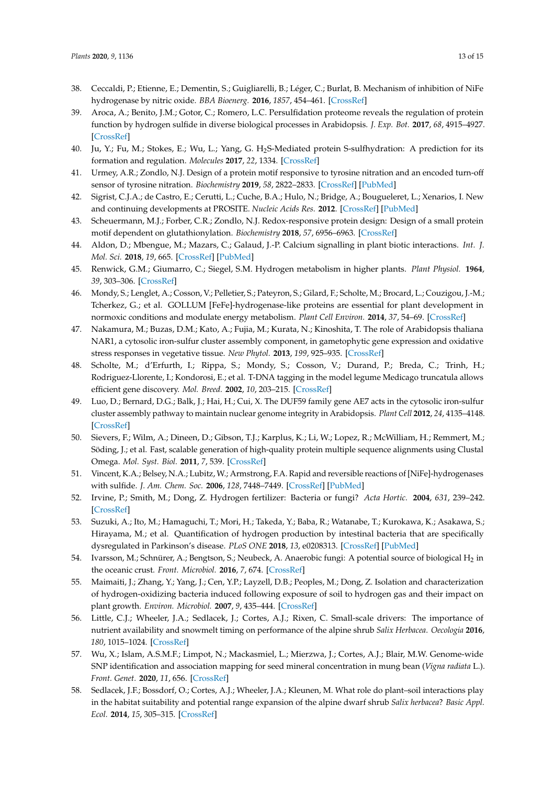- <span id="page-12-0"></span>38. Ceccaldi, P.; Etienne, E.; Dementin, S.; Guigliarelli, B.; Léger, C.; Burlat, B. Mechanism of inhibition of NiFe hydrogenase by nitric oxide. *BBA Bioenerg.* **2016**, *1857*, 454–461. [\[CrossRef\]](http://dx.doi.org/10.1016/j.bbabio.2016.01.014)
- <span id="page-12-1"></span>39. Aroca, A.; Benito, J.M.; Gotor, C.; Romero, L.C. Persulfidation proteome reveals the regulation of protein function by hydrogen sulfide in diverse biological processes in Arabidopsis. *J. Exp. Bot.* **2017**, *68*, 4915–4927. [\[CrossRef\]](http://dx.doi.org/10.1093/jxb/erx294)
- <span id="page-12-2"></span>40. Ju, Y.; Fu, M.; Stokes, E.; Wu, L.; Yang, G. H2S-Mediated protein S-sulfhydration: A prediction for its formation and regulation. *Molecules* **2017**, *22*, 1334. [\[CrossRef\]](http://dx.doi.org/10.3390/molecules22081334)
- <span id="page-12-3"></span>41. Urmey, A.R.; Zondlo, N.J. Design of a protein motif responsive to tyrosine nitration and an encoded turn-off sensor of tyrosine nitration. *Biochemistry* **2019**, *58*, 2822–2833. [\[CrossRef\]](http://dx.doi.org/10.1021/acs.biochem.9b00334) [\[PubMed\]](http://www.ncbi.nlm.nih.gov/pubmed/31140788)
- <span id="page-12-4"></span>42. Sigrist, C.J.A.; de Castro, E.; Cerutti, L.; Cuche, B.A.; Hulo, N.; Bridge, A.; Bougueleret, L.; Xenarios, I. New and continuing developments at PROSITE. *Nucleic Acids Res.* **2012**. [\[CrossRef\]](http://dx.doi.org/10.1093/nar/gks1067) [\[PubMed\]](http://www.ncbi.nlm.nih.gov/pubmed/23161676)
- <span id="page-12-5"></span>43. Scheuermann, M.J.; Forber, C.R.; Zondlo, N.J. Redox-responsive protein design: Design of a small protein motif dependent on glutathionylation. *Biochemistry* **2018**, *57*, 6956–6963. [\[CrossRef\]](http://dx.doi.org/10.1021/acs.biochem.8b00973)
- <span id="page-12-6"></span>44. Aldon, D.; Mbengue, M.; Mazars, C.; Galaud, J.-P. Calcium signalling in plant biotic interactions. *Int. J. Mol. Sci.* **2018**, *19*, 665. [\[CrossRef\]](http://dx.doi.org/10.3390/ijms19030665) [\[PubMed\]](http://www.ncbi.nlm.nih.gov/pubmed/29495448)
- <span id="page-12-7"></span>45. Renwick, G.M.; Giumarro, C.; Siegel, S.M. Hydrogen metabolism in higher plants. *Plant Physiol.* **1964**, *39*, 303–306. [\[CrossRef\]](http://dx.doi.org/10.1104/pp.39.3.303)
- <span id="page-12-8"></span>46. Mondy, S.; Lenglet, A.; Cosson, V.; Pelletier, S.; Pateyron, S.; Gilard, F.; Scholte, M.; Brocard, L.; Couzigou, J.-M.; Tcherkez, G.; et al. GOLLUM [FeFe]-hydrogenase-like proteins are essential for plant development in normoxic conditions and modulate energy metabolism. *Plant Cell Environ.* **2014**, *37*, 54–69. [\[CrossRef\]](http://dx.doi.org/10.1111/pce.12128)
- <span id="page-12-9"></span>47. Nakamura, M.; Buzas, D.M.; Kato, A.; Fujia, M.; Kurata, N.; Kinoshita, T. The role of Arabidopsis thaliana NAR1, a cytosolic iron-sulfur cluster assembly component, in gametophytic gene expression and oxidative stress responses in vegetative tissue. *New Phytol.* **2013**, *199*, 925–935. [\[CrossRef\]](http://dx.doi.org/10.1111/nph.12350)
- <span id="page-12-10"></span>48. Scholte, M.; d'Erfurth, I.; Rippa, S.; Mondy, S.; Cosson, V.; Durand, P.; Breda, C.; Trinh, H.; Rodriguez-Llorente, I.; Kondorosi, E.; et al. T-DNA tagging in the model legume Medicago truncatula allows efficient gene discovery. *Mol. Breed.* **2002**, *10*, 203–215. [\[CrossRef\]](http://dx.doi.org/10.1023/A:1020564612093)
- <span id="page-12-11"></span>49. Luo, D.; Bernard, D.G.; Balk, J.; Hai, H.; Cui, X. The DUF59 family gene AE7 acts in the cytosolic iron-sulfur cluster assembly pathway to maintain nuclear genome integrity in Arabidopsis. *Plant Cell* **2012**, *24*, 4135–4148. [\[CrossRef\]](http://dx.doi.org/10.1105/tpc.112.102608)
- <span id="page-12-12"></span>50. Sievers, F.; Wilm, A.; Dineen, D.; Gibson, T.J.; Karplus, K.; Li, W.; Lopez, R.; McWilliam, H.; Remmert, M.; Söding, J.; et al. Fast, scalable generation of high-quality protein multiple sequence alignments using Clustal Omega. *Mol. Syst. Biol.* **2011**, *7*, 539. [\[CrossRef\]](http://dx.doi.org/10.1038/msb.2011.75)
- <span id="page-12-13"></span>51. Vincent, K.A.; Belsey, N.A.; Lubitz, W.; Armstrong, F.A. Rapid and reversible reactions of [NiFe]-hydrogenases with sulfide. *J. Am. Chem. Soc.* **2006**, *128*, 7448–7449. [\[CrossRef\]](http://dx.doi.org/10.1021/ja061732f) [\[PubMed\]](http://www.ncbi.nlm.nih.gov/pubmed/16756292)
- <span id="page-12-14"></span>52. Irvine, P.; Smith, M.; Dong, Z. Hydrogen fertilizer: Bacteria or fungi? *Acta Hortic.* **2004**, *631*, 239–242. [\[CrossRef\]](http://dx.doi.org/10.17660/ActaHortic.2004.631.30)
- <span id="page-12-15"></span>53. Suzuki, A.; Ito, M.; Hamaguchi, T.; Mori, H.; Takeda, Y.; Baba, R.; Watanabe, T.; Kurokawa, K.; Asakawa, S.; Hirayama, M.; et al. Quantification of hydrogen production by intestinal bacteria that are specifically dysregulated in Parkinson's disease. *PLoS ONE* **2018**, *13*, e0208313. [\[CrossRef\]](http://dx.doi.org/10.1371/journal.pone.0208313) [\[PubMed\]](http://www.ncbi.nlm.nih.gov/pubmed/30586410)
- <span id="page-12-16"></span>54. Ivarsson, M.; Schnürer, A.; Bengtson, S.; Neubeck, A. Anaerobic fungi: A potential source of biological H $_2$  in the oceanic crust. *Front. Microbiol.* **2016**, *7*, 674. [\[CrossRef\]](http://dx.doi.org/10.3389/fmicb.2016.00674)
- <span id="page-12-17"></span>55. Maimaiti, J.; Zhang, Y.; Yang, J.; Cen, Y.P.; Layzell, D.B.; Peoples, M.; Dong, Z. Isolation and characterization of hydrogen-oxidizing bacteria induced following exposure of soil to hydrogen gas and their impact on plant growth. *Environ. Microbiol.* **2007**, *9*, 435–444. [\[CrossRef\]](http://dx.doi.org/10.1111/j.1462-2920.2006.01155.x)
- <span id="page-12-18"></span>56. Little, C.J.; Wheeler, J.A.; Sedlacek, J.; Cortes, A.J.; Rixen, C. Small-scale drivers: The importance of nutrient availability and snowmelt timing on performance of the alpine shrub *Salix Herbacea*. *Oecologia* **2016**, *180*, 1015–1024. [\[CrossRef\]](http://dx.doi.org/10.1007/s00442-015-3394-3)
- <span id="page-12-19"></span>57. Wu, X.; Islam, A.S.M.F.; Limpot, N.; Mackasmiel, L.; Mierzwa, J.; Cortes, A.J.; Blair, M.W. Genome-wide SNP identification and association mapping for seed mineral concentration in mung bean (*Vigna radiata* L.). *Front. Genet.* **2020**, *11*, 656. [\[CrossRef\]](http://dx.doi.org/10.3389/fgene.2020.00656)
- <span id="page-12-20"></span>58. Sedlacek, J.F.; Bossdorf, O.; Cortes, A.J.; Wheeler, J.A.; Kleunen, M. What role do plant–soil interactions play in the habitat suitability and potential range expansion of the alpine dwarf shrub *Salix herbacea*? *Basic Appl. Ecol.* **2014**, *15*, 305–315. [\[CrossRef\]](http://dx.doi.org/10.1016/j.baae.2014.05.006)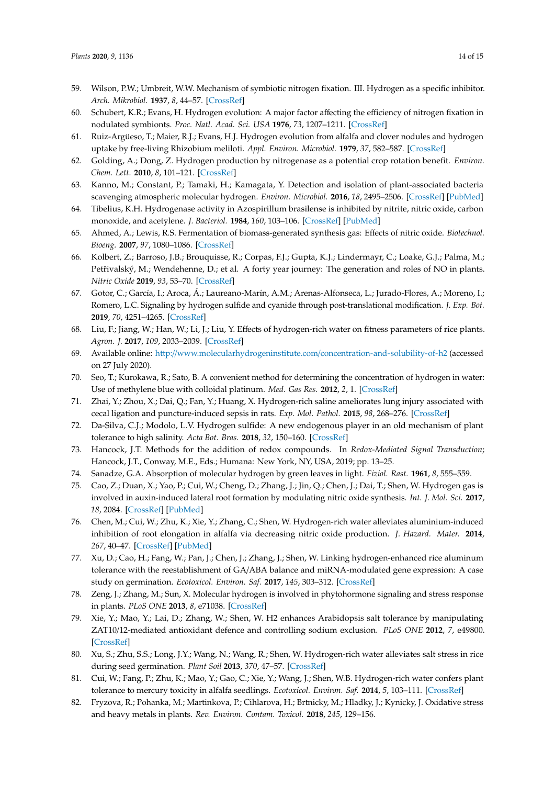- <span id="page-13-0"></span>59. Wilson, P.W.; Umbreit, W.W. Mechanism of symbiotic nitrogen fixation. III. Hydrogen as a specific inhibitor. *Arch. Mikrobiol.* **1937**, *8*, 44–57. [\[CrossRef\]](http://dx.doi.org/10.1007/BF00407213)
- <span id="page-13-1"></span>60. Schubert, K.R.; Evans, H. Hydrogen evolution: A major factor affecting the efficiency of nitrogen fixation in nodulated symbionts. *Proc. Natl. Acad. Sci. USA* **1976**, *73*, 1207–1211. [\[CrossRef\]](http://dx.doi.org/10.1073/pnas.73.4.1207)
- <span id="page-13-2"></span>61. Ruiz-Argüeso, T.; Maier, R.J.; Evans, H.J. Hydrogen evolution from alfalfa and clover nodules and hydrogen uptake by free-living Rhizobium meliloti. *Appl. Environ. Microbiol.* **1979**, *37*, 582–587. [\[CrossRef\]](http://dx.doi.org/10.1128/AEM.37.3.582-587.1979)
- <span id="page-13-3"></span>62. Golding, A.; Dong, Z. Hydrogen production by nitrogenase as a potential crop rotation benefit. *Environ. Chem. Lett.* **2010**, *8*, 101–121. [\[CrossRef\]](http://dx.doi.org/10.1007/s10311-010-0278-y)
- <span id="page-13-4"></span>63. Kanno, M.; Constant, P.; Tamaki, H.; Kamagata, Y. Detection and isolation of plant-associated bacteria scavenging atmospheric molecular hydrogen. *Environ. Microbiol.* **2016**, *18*, 2495–2506. [\[CrossRef\]](http://dx.doi.org/10.1111/1462-2920.13162) [\[PubMed\]](http://www.ncbi.nlm.nih.gov/pubmed/26636257)
- <span id="page-13-5"></span>64. Tibelius, K.H. Hydrogenase activity in Azospirillum brasilense is inhibited by nitrite, nitric oxide, carbon monoxide, and acetylene. *J. Bacteriol.* **1984**, *160*, 103–106. [\[CrossRef\]](http://dx.doi.org/10.1128/JB.160.1.103-106.1984) [\[PubMed\]](http://www.ncbi.nlm.nih.gov/pubmed/6384189)
- <span id="page-13-6"></span>65. Ahmed, A.; Lewis, R.S. Fermentation of biomass-generated synthesis gas: Effects of nitric oxide. *Biotechnol. Bioeng.* **2007**, *97*, 1080–1086. [\[CrossRef\]](http://dx.doi.org/10.1002/bit.21305)
- <span id="page-13-7"></span>66. Kolbert, Z.; Barroso, J.B.; Brouquisse, R.; Corpas, F.J.; Gupta, K.J.; Lindermayr, C.; Loake, G.J.; Palma, M.; Petřivalský, M.; Wendehenne, D.; et al. A forty year journey: The generation and roles of NO in plants. *Nitric Oxide* **2019**, *93*, 53–70. [\[CrossRef\]](http://dx.doi.org/10.1016/j.niox.2019.09.006)
- <span id="page-13-8"></span>67. Gotor, C.; García, I.; Aroca, Á.; Laureano-Marín, A.M.; Arenas-Alfonseca, L.; Jurado-Flores, A.; Moreno, I.; Romero, L.C. Signaling by hydrogen sulfide and cyanide through post-translational modification. *J. Exp. Bot.* **2019**, *70*, 4251–4265. [\[CrossRef\]](http://dx.doi.org/10.1093/jxb/erz225)
- <span id="page-13-9"></span>68. Liu, F.; Jiang, W.; Han, W.; Li, J.; Liu, Y. Effects of hydrogen-rich water on fitness parameters of rice plants. *Agron. J.* **2017**, *109*, 2033–2039. [\[CrossRef\]](http://dx.doi.org/10.2134/agronj2017.02.0109)
- <span id="page-13-10"></span>69. Available online: http://[www.molecularhydrogeninstitute.com](http://www.molecularhydrogeninstitute.com/concentration-and-solubility-of-h2)/concentration-and-solubility-of-h2 (accessed on 27 July 2020).
- <span id="page-13-11"></span>70. Seo, T.; Kurokawa, R.; Sato, B. A convenient method for determining the concentration of hydrogen in water: Use of methylene blue with colloidal platinum. *Med. Gas Res.* **2012**, *2*, 1. [\[CrossRef\]](http://dx.doi.org/10.1186/2045-9912-2-1)
- <span id="page-13-12"></span>71. Zhai, Y.; Zhou, X.; Dai, Q.; Fan, Y.; Huang, X. Hydrogen-rich saline ameliorates lung injury associated with cecal ligation and puncture-induced sepsis in rats. *Exp. Mol. Pathol.* **2015**, *98*, 268–276. [\[CrossRef\]](http://dx.doi.org/10.1016/j.yexmp.2015.03.005)
- <span id="page-13-13"></span>72. Da-Silva, C.J.; Modolo, L.V. Hydrogen sulfide: A new endogenous player in an old mechanism of plant tolerance to high salinity. *Acta Bot. Bras.* **2018**, *32*, 150–160. [\[CrossRef\]](http://dx.doi.org/10.1590/0102-33062017abb0229)
- <span id="page-13-14"></span>73. Hancock, J.T. Methods for the addition of redox compounds. In *Redox-Mediated Signal Transduction*; Hancock, J.T., Conway, M.E., Eds.; Humana: New York, NY, USA, 2019; pp. 13–25.
- <span id="page-13-15"></span>74. Sanadze, G.A. Absorption of molecular hydrogen by green leaves in light. *Fiziol. Rast.* **1961**, *8*, 555–559.
- <span id="page-13-16"></span>75. Cao, Z.; Duan, X.; Yao, P.; Cui, W.; Cheng, D.; Zhang, J.; Jin, Q.; Chen, J.; Dai, T.; Shen, W. Hydrogen gas is involved in auxin-induced lateral root formation by modulating nitric oxide synthesis. *Int. J. Mol. Sci.* **2017**, *18*, 2084. [\[CrossRef\]](http://dx.doi.org/10.3390/ijms18102084) [\[PubMed\]](http://www.ncbi.nlm.nih.gov/pubmed/28972563)
- <span id="page-13-17"></span>76. Chen, M.; Cui, W.; Zhu, K.; Xie, Y.; Zhang, C.; Shen, W. Hydrogen-rich water alleviates aluminium-induced inhibition of root elongation in alfalfa via decreasing nitric oxide production. *J. Hazard. Mater.* **2014**, *267*, 40–47. [\[CrossRef\]](http://dx.doi.org/10.1016/j.jhazmat.2013.12.029) [\[PubMed\]](http://www.ncbi.nlm.nih.gov/pubmed/24413050)
- <span id="page-13-18"></span>77. Xu, D.; Cao, H.; Fang, W.; Pan, J.; Chen, J.; Zhang, J.; Shen, W. Linking hydrogen-enhanced rice aluminum tolerance with the reestablishment of GA/ABA balance and miRNA-modulated gene expression: A case study on germination. *Ecotoxicol. Environ. Saf.* **2017**, *145*, 303–312. [\[CrossRef\]](http://dx.doi.org/10.1016/j.ecoenv.2017.07.055)
- <span id="page-13-19"></span>78. Zeng, J.; Zhang, M.; Sun, X. Molecular hydrogen is involved in phytohormone signaling and stress response in plants. *PLoS ONE* **2013**, *8*, e71038. [\[CrossRef\]](http://dx.doi.org/10.1371/journal.pone.0071038)
- <span id="page-13-20"></span>79. Xie, Y.; Mao, Y.; Lai, D.; Zhang, W.; Shen, W. H2 enhances Arabidopsis salt tolerance by manipulating ZAT10/12-mediated antioxidant defence and controlling sodium exclusion. *PLoS ONE* **2012**, *7*, e49800. [\[CrossRef\]](http://dx.doi.org/10.1371/journal.pone.0049800)
- <span id="page-13-21"></span>80. Xu, S.; Zhu, S.S.; Long, J.Y.; Wang, N.; Wang, R.; Shen, W. Hydrogen-rich water alleviates salt stress in rice during seed germination. *Plant Soil* **2013**, *370*, 47–57. [\[CrossRef\]](http://dx.doi.org/10.1007/s11104-013-1614-3)
- <span id="page-13-22"></span>81. Cui, W.; Fang, P.; Zhu, K.; Mao, Y.; Gao, C.; Xie, Y.; Wang, J.; Shen, W.B. Hydrogen-rich water confers plant tolerance to mercury toxicity in alfalfa seedlings. *Ecotoxicol. Environ. Saf.* **2014**, *5*, 103–111. [\[CrossRef\]](http://dx.doi.org/10.1016/j.ecoenv.2014.04.009)
- <span id="page-13-23"></span>82. Fryzova, R.; Pohanka, M.; Martinkova, P.; Cihlarova, H.; Brtnicky, M.; Hladky, J.; Kynicky, J. Oxidative stress and heavy metals in plants. *Rev. Environ. Contam. Toxicol.* **2018**, *245*, 129–156.